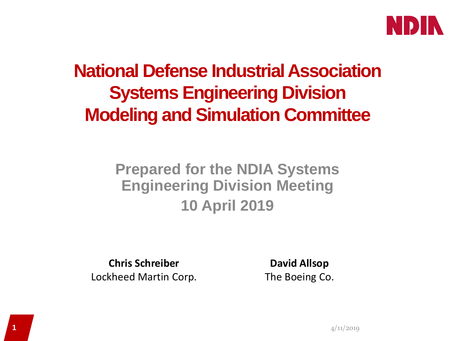

### **National Defense Industrial Association Systems Engineering Division Modeling and Simulation Committee**

#### **Prepared for the NDIA Systems Engineering Division Meeting 10 April 2019**

**Chris Schreiber** Lockheed Martin Corp.

**David Allsop** The Boeing Co.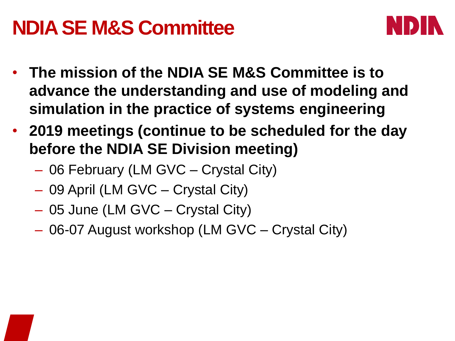## **NDIA SE M&S Committee**



- **The mission of the NDIA SE M&S Committee is to advance the understanding and use of modeling and simulation in the practice of systems engineering**
- **2019 meetings (continue to be scheduled for the day before the NDIA SE Division meeting)**
	- 06 February (LM GVC Crystal City)
	- 09 April (LM GVC Crystal City)
	- 05 June (LM GVC Crystal City)
	- 06-07 August workshop (LM GVC Crystal City)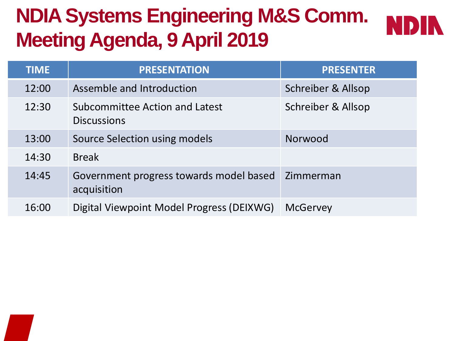# **NDIA Systems Engineering M&S Comm. Meeting Agenda, 9 April 2019**



| <b>TIME</b> | <b>PRESENTATION</b>                                    | <b>PRESENTER</b>   |
|-------------|--------------------------------------------------------|--------------------|
| 12:00       | Assemble and Introduction                              | Schreiber & Allsop |
| 12:30       | Subcommittee Action and Latest<br><b>Discussions</b>   | Schreiber & Allsop |
| 13:00       | Source Selection using models                          | Norwood            |
| 14:30       | <b>Break</b>                                           |                    |
| 14:45       | Government progress towards model based<br>acquisition | Zimmerman          |
| 16:00       | Digital Viewpoint Model Progress (DEIXWG)              | <b>McGervey</b>    |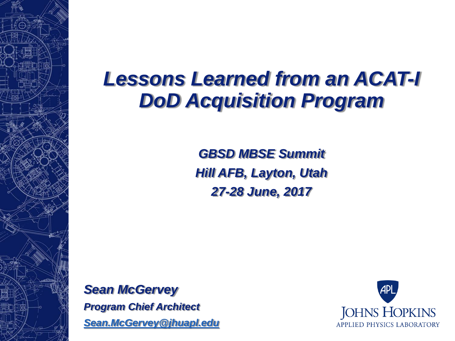## *Lessons Learned from an ACAT-I DoD Acquisition Program*

*GBSD MBSE Summit Hill AFB, Layton, Utah 27-28 June, 2017*

*Sean McGervey Program Chief Architect [Sean.McGervey@jhuapl.edu](mailto:Sean.McGervey@jhuapl.edu)*

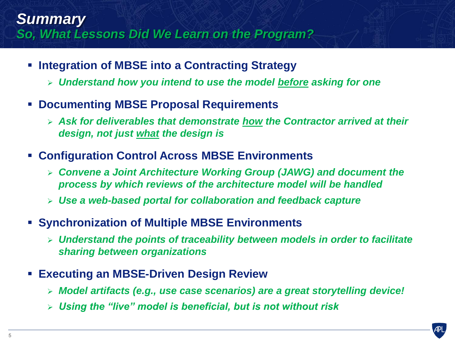#### *Summary So, What Lessons Did We Learn on the Program?*

- **F** Integration of MBSE into a Contracting Strategy
	- *Understand how you intend to use the model before asking for one*
- **Documenting MBSE Proposal Requirements**
	- *Ask for deliverables that demonstrate how the Contractor arrived at their design, not just what the design is*
- **Configuration Control Across MBSE Environments**
	- *Convene a Joint Architecture Working Group (JAWG) and document the process by which reviews of the architecture model will be handled*
	- *Use a web-based portal for collaboration and feedback capture*
- **Synchronization of Multiple MBSE Environments**
	- *Understand the points of traceability between models in order to facilitate sharing between organizations*
- **Executing an MBSE-Driven Design Review**
	- *Model artifacts (e.g., use case scenarios) are a great storytelling device!*
	- *Using the "live" model is beneficial, but is not without risk*